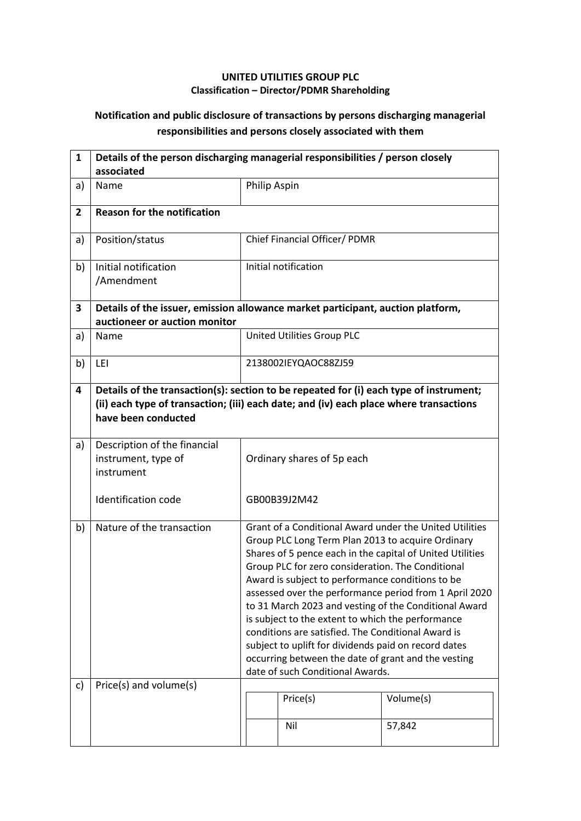## **UNITED UTILITIES GROUP PLC Classification – Director/PDMR Shareholding**

## **Notification and public disclosure of transactions by persons discharging managerial responsibilities and persons closely associated with them**

| $\mathbf{1}$   | Details of the person discharging managerial responsibilities / person closely<br>associated                     |                                                                                                                                                                                                                                                                                                                                                                                                                                                                                                                                                                                                                                                                     |                               |        |  |  |
|----------------|------------------------------------------------------------------------------------------------------------------|---------------------------------------------------------------------------------------------------------------------------------------------------------------------------------------------------------------------------------------------------------------------------------------------------------------------------------------------------------------------------------------------------------------------------------------------------------------------------------------------------------------------------------------------------------------------------------------------------------------------------------------------------------------------|-------------------------------|--------|--|--|
| a)             | Name                                                                                                             | Philip Aspin                                                                                                                                                                                                                                                                                                                                                                                                                                                                                                                                                                                                                                                        |                               |        |  |  |
| $\overline{2}$ | <b>Reason for the notification</b>                                                                               |                                                                                                                                                                                                                                                                                                                                                                                                                                                                                                                                                                                                                                                                     |                               |        |  |  |
| a)             | Position/status                                                                                                  |                                                                                                                                                                                                                                                                                                                                                                                                                                                                                                                                                                                                                                                                     | Chief Financial Officer/ PDMR |        |  |  |
| b)             | Initial notification<br>/Amendment                                                                               |                                                                                                                                                                                                                                                                                                                                                                                                                                                                                                                                                                                                                                                                     | Initial notification          |        |  |  |
| 3              | Details of the issuer, emission allowance market participant, auction platform,<br>auctioneer or auction monitor |                                                                                                                                                                                                                                                                                                                                                                                                                                                                                                                                                                                                                                                                     |                               |        |  |  |
| a)             | Name                                                                                                             |                                                                                                                                                                                                                                                                                                                                                                                                                                                                                                                                                                                                                                                                     | United Utilities Group PLC    |        |  |  |
| b)             | LEI                                                                                                              |                                                                                                                                                                                                                                                                                                                                                                                                                                                                                                                                                                                                                                                                     | 2138002IEYQAOC88ZJ59          |        |  |  |
| 4              | have been conducted                                                                                              | Details of the transaction(s): section to be repeated for (i) each type of instrument;<br>(ii) each type of transaction; (iii) each date; and (iv) each place where transactions                                                                                                                                                                                                                                                                                                                                                                                                                                                                                    |                               |        |  |  |
| a)             | Description of the financial<br>instrument, type of<br>instrument                                                | Ordinary shares of 5p each                                                                                                                                                                                                                                                                                                                                                                                                                                                                                                                                                                                                                                          |                               |        |  |  |
|                | Identification code                                                                                              | GB00B39J2M42                                                                                                                                                                                                                                                                                                                                                                                                                                                                                                                                                                                                                                                        |                               |        |  |  |
| b)             | Nature of the transaction                                                                                        | Grant of a Conditional Award under the United Utilities<br>Group PLC Long Term Plan 2013 to acquire Ordinary<br>Shares of 5 pence each in the capital of United Utilities<br>Group PLC for zero consideration. The Conditional<br>Award is subject to performance conditions to be<br>assessed over the performance period from 1 April 2020<br>to 31 March 2023 and vesting of the Conditional Award<br>is subject to the extent to which the performance<br>conditions are satisfied. The Conditional Award is<br>subject to uplift for dividends paid on record dates<br>occurring between the date of grant and the vesting<br>date of such Conditional Awards. |                               |        |  |  |
| c)             | Price(s) and volume(s)                                                                                           | Price(s)<br>Volume(s)                                                                                                                                                                                                                                                                                                                                                                                                                                                                                                                                                                                                                                               |                               |        |  |  |
|                |                                                                                                                  |                                                                                                                                                                                                                                                                                                                                                                                                                                                                                                                                                                                                                                                                     | Nil                           | 57,842 |  |  |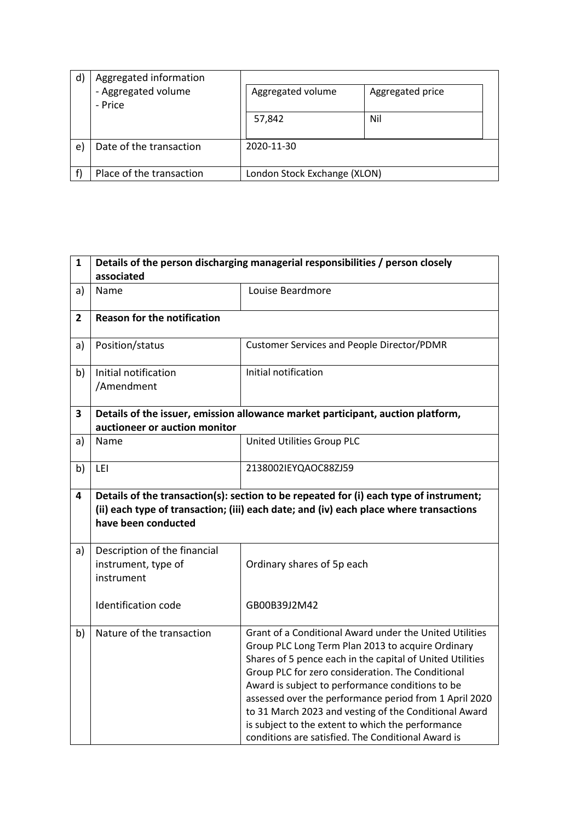| $\mathsf{d}$ ) | Aggregated information         |                              |                  |  |  |
|----------------|--------------------------------|------------------------------|------------------|--|--|
|                | - Aggregated volume<br>- Price | Aggregated volume            | Aggregated price |  |  |
|                |                                | 57,842                       | Nil              |  |  |
| e)             | Date of the transaction        | 2020-11-30                   |                  |  |  |
|                | Place of the transaction       | London Stock Exchange (XLON) |                  |  |  |

| $\mathbf{1}$   | Details of the person discharging managerial responsibilities / person closely |                                                                                                                                                                                                                                                                                                                                                                                                                                                                                                                  |  |  |  |
|----------------|--------------------------------------------------------------------------------|------------------------------------------------------------------------------------------------------------------------------------------------------------------------------------------------------------------------------------------------------------------------------------------------------------------------------------------------------------------------------------------------------------------------------------------------------------------------------------------------------------------|--|--|--|
|                | associated                                                                     |                                                                                                                                                                                                                                                                                                                                                                                                                                                                                                                  |  |  |  |
| a)             | Name                                                                           | Louise Beardmore                                                                                                                                                                                                                                                                                                                                                                                                                                                                                                 |  |  |  |
| $\overline{2}$ | <b>Reason for the notification</b>                                             |                                                                                                                                                                                                                                                                                                                                                                                                                                                                                                                  |  |  |  |
| a)             | Position/status                                                                | <b>Customer Services and People Director/PDMR</b>                                                                                                                                                                                                                                                                                                                                                                                                                                                                |  |  |  |
| b)             | Initial notification                                                           | Initial notification                                                                                                                                                                                                                                                                                                                                                                                                                                                                                             |  |  |  |
|                | /Amendment                                                                     |                                                                                                                                                                                                                                                                                                                                                                                                                                                                                                                  |  |  |  |
| 3              |                                                                                | Details of the issuer, emission allowance market participant, auction platform,                                                                                                                                                                                                                                                                                                                                                                                                                                  |  |  |  |
|                | auctioneer or auction monitor                                                  |                                                                                                                                                                                                                                                                                                                                                                                                                                                                                                                  |  |  |  |
| a)             | Name                                                                           | United Utilities Group PLC                                                                                                                                                                                                                                                                                                                                                                                                                                                                                       |  |  |  |
| b)             | LEI                                                                            | 2138002IEYQAOC88ZJ59                                                                                                                                                                                                                                                                                                                                                                                                                                                                                             |  |  |  |
| 4              | have been conducted                                                            | Details of the transaction(s): section to be repeated for (i) each type of instrument;<br>(ii) each type of transaction; (iii) each date; and (iv) each place where transactions                                                                                                                                                                                                                                                                                                                                 |  |  |  |
| a)             | Description of the financial<br>instrument, type of<br>instrument              | Ordinary shares of 5p each                                                                                                                                                                                                                                                                                                                                                                                                                                                                                       |  |  |  |
|                | <b>Identification code</b>                                                     | GB00B39J2M42                                                                                                                                                                                                                                                                                                                                                                                                                                                                                                     |  |  |  |
| b)             | Nature of the transaction                                                      | Grant of a Conditional Award under the United Utilities<br>Group PLC Long Term Plan 2013 to acquire Ordinary<br>Shares of 5 pence each in the capital of United Utilities<br>Group PLC for zero consideration. The Conditional<br>Award is subject to performance conditions to be<br>assessed over the performance period from 1 April 2020<br>to 31 March 2023 and vesting of the Conditional Award<br>is subject to the extent to which the performance<br>conditions are satisfied. The Conditional Award is |  |  |  |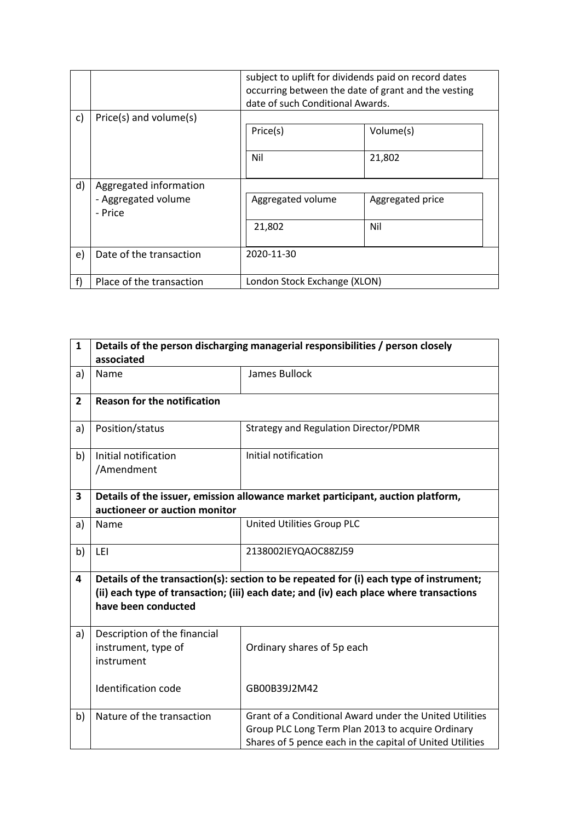|    |                                                          | subject to uplift for dividends paid on record dates<br>occurring between the date of grant and the vesting<br>date of such Conditional Awards. |                         |  |  |
|----|----------------------------------------------------------|-------------------------------------------------------------------------------------------------------------------------------------------------|-------------------------|--|--|
| c) | Price(s) and volume(s)                                   | Price(s)<br>Volume(s)<br>Nil<br>21,802                                                                                                          |                         |  |  |
| d) | Aggregated information<br>- Aggregated volume<br>- Price | Aggregated volume<br>21,802                                                                                                                     | Aggregated price<br>Nil |  |  |
| e) | Date of the transaction                                  | 2020-11-30                                                                                                                                      |                         |  |  |
| f) | Place of the transaction                                 | London Stock Exchange (XLON)                                                                                                                    |                         |  |  |

| $\mathbf{1}$   | Details of the person discharging managerial responsibilities / person closely<br>associated                                                                                                            |                                                                                                                                                                           |  |  |  |  |  |
|----------------|---------------------------------------------------------------------------------------------------------------------------------------------------------------------------------------------------------|---------------------------------------------------------------------------------------------------------------------------------------------------------------------------|--|--|--|--|--|
| a)             | Name                                                                                                                                                                                                    | James Bullock                                                                                                                                                             |  |  |  |  |  |
| $\overline{2}$ | <b>Reason for the notification</b>                                                                                                                                                                      |                                                                                                                                                                           |  |  |  |  |  |
| a)             | Position/status                                                                                                                                                                                         | Strategy and Regulation Director/PDMR                                                                                                                                     |  |  |  |  |  |
| b)             | Initial notification<br>/Amendment                                                                                                                                                                      | Initial notification                                                                                                                                                      |  |  |  |  |  |
| 3              | auctioneer or auction monitor                                                                                                                                                                           | Details of the issuer, emission allowance market participant, auction platform,                                                                                           |  |  |  |  |  |
| a)             | Name                                                                                                                                                                                                    | United Utilities Group PLC                                                                                                                                                |  |  |  |  |  |
| b)             | LEI                                                                                                                                                                                                     | 2138002IEYQAOC88ZJ59                                                                                                                                                      |  |  |  |  |  |
| 4              | Details of the transaction(s): section to be repeated for (i) each type of instrument;<br>(ii) each type of transaction; (iii) each date; and (iv) each place where transactions<br>have been conducted |                                                                                                                                                                           |  |  |  |  |  |
| a)             | Description of the financial<br>instrument, type of<br>instrument                                                                                                                                       | Ordinary shares of 5p each                                                                                                                                                |  |  |  |  |  |
|                | <b>Identification code</b>                                                                                                                                                                              | GB00B39J2M42                                                                                                                                                              |  |  |  |  |  |
| b)             | Nature of the transaction                                                                                                                                                                               | Grant of a Conditional Award under the United Utilities<br>Group PLC Long Term Plan 2013 to acquire Ordinary<br>Shares of 5 pence each in the capital of United Utilities |  |  |  |  |  |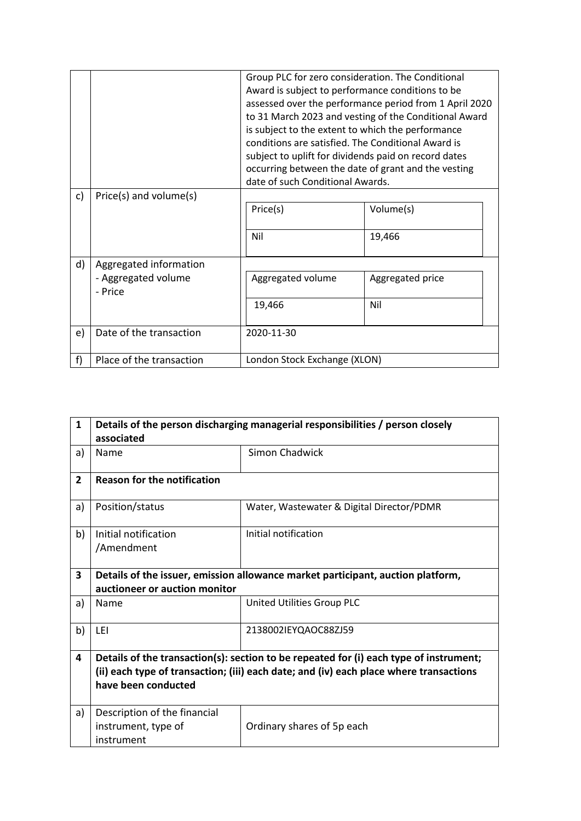|    |                          | Group PLC for zero consideration. The Conditional      |                                                       |  |  |  |
|----|--------------------------|--------------------------------------------------------|-------------------------------------------------------|--|--|--|
|    |                          | Award is subject to performance conditions to be       |                                                       |  |  |  |
|    |                          | assessed over the performance period from 1 April 2020 |                                                       |  |  |  |
|    |                          |                                                        | to 31 March 2023 and vesting of the Conditional Award |  |  |  |
|    |                          | is subject to the extent to which the performance      |                                                       |  |  |  |
|    |                          | conditions are satisfied. The Conditional Award is     |                                                       |  |  |  |
|    |                          | subject to uplift for dividends paid on record dates   |                                                       |  |  |  |
|    |                          | occurring between the date of grant and the vesting    |                                                       |  |  |  |
|    |                          | date of such Conditional Awards.                       |                                                       |  |  |  |
| c) | Price(s) and volume(s)   |                                                        |                                                       |  |  |  |
|    |                          | Price(s)                                               | Volume(s)                                             |  |  |  |
|    |                          |                                                        |                                                       |  |  |  |
|    |                          | Nil                                                    | 19,466                                                |  |  |  |
|    |                          |                                                        |                                                       |  |  |  |
| d) | Aggregated information   |                                                        |                                                       |  |  |  |
|    | - Aggregated volume      | Aggregated volume                                      | Aggregated price                                      |  |  |  |
|    | - Price                  |                                                        |                                                       |  |  |  |
|    |                          | 19,466                                                 | Nil                                                   |  |  |  |
|    |                          |                                                        |                                                       |  |  |  |
| e) | Date of the transaction  | 2020-11-30                                             |                                                       |  |  |  |
|    |                          |                                                        |                                                       |  |  |  |
| f  | Place of the transaction | London Stock Exchange (XLON)                           |                                                       |  |  |  |

| $\mathbf{1}$   | Details of the person discharging managerial responsibilities / person closely         |                                                                                        |  |  |  |
|----------------|----------------------------------------------------------------------------------------|----------------------------------------------------------------------------------------|--|--|--|
|                | associated                                                                             |                                                                                        |  |  |  |
| a)             | Name                                                                                   | <b>Simon Chadwick</b>                                                                  |  |  |  |
|                |                                                                                        |                                                                                        |  |  |  |
| $\overline{2}$ | <b>Reason for the notification</b>                                                     |                                                                                        |  |  |  |
| a)             | Position/status                                                                        | Water, Wastewater & Digital Director/PDMR                                              |  |  |  |
|                |                                                                                        |                                                                                        |  |  |  |
| b)             | Initial notification                                                                   | Initial notification                                                                   |  |  |  |
|                | /Amendment                                                                             |                                                                                        |  |  |  |
|                |                                                                                        |                                                                                        |  |  |  |
| 3              |                                                                                        | Details of the issuer, emission allowance market participant, auction platform,        |  |  |  |
|                | auctioneer or auction monitor                                                          |                                                                                        |  |  |  |
| a)             | Name                                                                                   | United Utilities Group PLC                                                             |  |  |  |
|                |                                                                                        |                                                                                        |  |  |  |
| b)             | LEI                                                                                    | 2138002IEYQAOC88ZJ59                                                                   |  |  |  |
|                |                                                                                        |                                                                                        |  |  |  |
| 4              |                                                                                        | Details of the transaction(s): section to be repeated for (i) each type of instrument; |  |  |  |
|                | (ii) each type of transaction; (iii) each date; and (iv) each place where transactions |                                                                                        |  |  |  |
|                | have been conducted                                                                    |                                                                                        |  |  |  |
|                |                                                                                        |                                                                                        |  |  |  |
|                |                                                                                        |                                                                                        |  |  |  |
|                | instrument                                                                             |                                                                                        |  |  |  |
| a)             | Description of the financial<br>instrument, type of                                    | Ordinary shares of 5p each                                                             |  |  |  |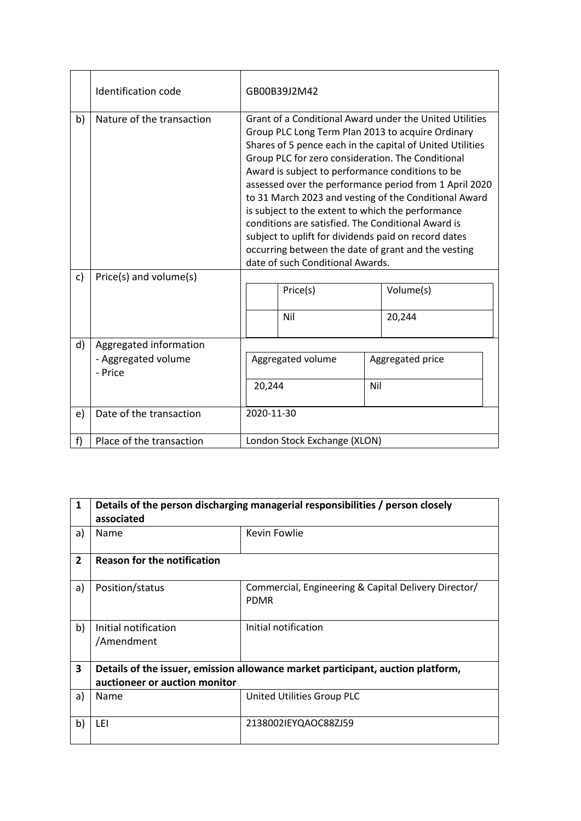|              | <b>Identification code</b>                               |                                                                                                                                                                                                                                                                                                                                                                                                                                                                                                                                                                                                                                                                     | GB00B39J2M42                 |                  |                     |  |
|--------------|----------------------------------------------------------|---------------------------------------------------------------------------------------------------------------------------------------------------------------------------------------------------------------------------------------------------------------------------------------------------------------------------------------------------------------------------------------------------------------------------------------------------------------------------------------------------------------------------------------------------------------------------------------------------------------------------------------------------------------------|------------------------------|------------------|---------------------|--|
| b)           | Nature of the transaction                                | Grant of a Conditional Award under the United Utilities<br>Group PLC Long Term Plan 2013 to acquire Ordinary<br>Shares of 5 pence each in the capital of United Utilities<br>Group PLC for zero consideration. The Conditional<br>Award is subject to performance conditions to be<br>assessed over the performance period from 1 April 2020<br>to 31 March 2023 and vesting of the Conditional Award<br>is subject to the extent to which the performance<br>conditions are satisfied. The Conditional Award is<br>subject to uplift for dividends paid on record dates<br>occurring between the date of grant and the vesting<br>date of such Conditional Awards. |                              |                  |                     |  |
| $\mathsf{C}$ | Price(s) and volume(s)                                   |                                                                                                                                                                                                                                                                                                                                                                                                                                                                                                                                                                                                                                                                     | Price(s)<br>Nil              |                  | Volume(s)<br>20,244 |  |
| d)           | Aggregated information<br>- Aggregated volume<br>- Price | Aggregated volume<br>20,244<br>Nil                                                                                                                                                                                                                                                                                                                                                                                                                                                                                                                                                                                                                                  |                              | Aggregated price |                     |  |
| e)           | Date of the transaction                                  | 2020-11-30                                                                                                                                                                                                                                                                                                                                                                                                                                                                                                                                                                                                                                                          |                              |                  |                     |  |
| f)           | Place of the transaction                                 |                                                                                                                                                                                                                                                                                                                                                                                                                                                                                                                                                                                                                                                                     | London Stock Exchange (XLON) |                  |                     |  |

| $\mathbf{1}$   | Details of the person discharging managerial responsibilities / person closely  |                                                                     |  |  |  |  |
|----------------|---------------------------------------------------------------------------------|---------------------------------------------------------------------|--|--|--|--|
|                | associated                                                                      |                                                                     |  |  |  |  |
| a)             | Name                                                                            | Kevin Fowlie                                                        |  |  |  |  |
| $\overline{2}$ | <b>Reason for the notification</b>                                              |                                                                     |  |  |  |  |
| a)             | Position/status                                                                 | Commercial, Engineering & Capital Delivery Director/<br><b>PDMR</b> |  |  |  |  |
| b)             | Initial notification<br>/Amendment                                              | Initial notification                                                |  |  |  |  |
| 3              | Details of the issuer, emission allowance market participant, auction platform, |                                                                     |  |  |  |  |
|                | auctioneer or auction monitor                                                   |                                                                     |  |  |  |  |
| a)             | Name                                                                            | United Utilities Group PLC                                          |  |  |  |  |
| b)             | LEI                                                                             | 2138002IEYQAOC88ZJ59                                                |  |  |  |  |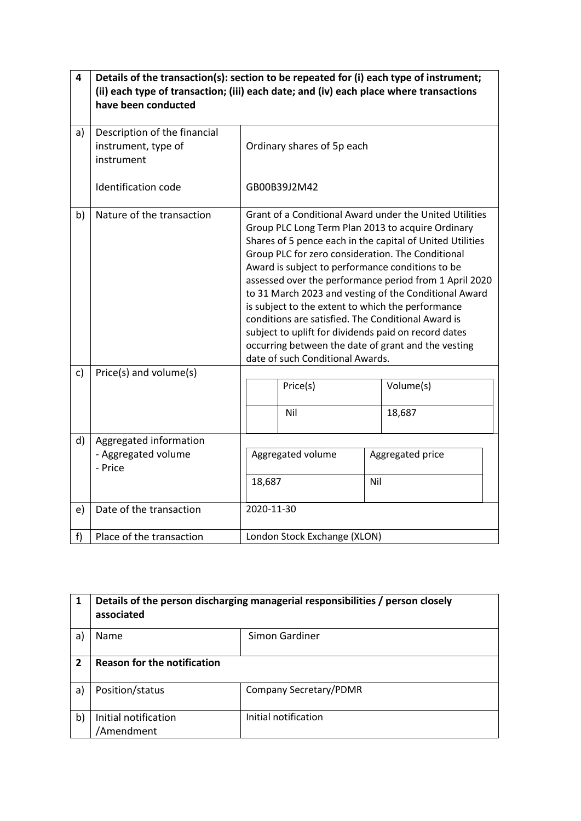| $\overline{\mathbf{4}}$ | Details of the transaction(s): section to be repeated for (i) each type of instrument;<br>(ii) each type of transaction; (iii) each date; and (iv) each place where transactions<br>have been conducted |                                                                                                                                                                                                                                                                                                                                                                                                                                                                                                                                                                                                                                                                     |                 |  |                     |  |
|-------------------------|---------------------------------------------------------------------------------------------------------------------------------------------------------------------------------------------------------|---------------------------------------------------------------------------------------------------------------------------------------------------------------------------------------------------------------------------------------------------------------------------------------------------------------------------------------------------------------------------------------------------------------------------------------------------------------------------------------------------------------------------------------------------------------------------------------------------------------------------------------------------------------------|-----------------|--|---------------------|--|
| a)                      | Description of the financial<br>instrument, type of<br>instrument                                                                                                                                       | Ordinary shares of 5p each                                                                                                                                                                                                                                                                                                                                                                                                                                                                                                                                                                                                                                          |                 |  |                     |  |
|                         | Identification code                                                                                                                                                                                     | GB00B39J2M42                                                                                                                                                                                                                                                                                                                                                                                                                                                                                                                                                                                                                                                        |                 |  |                     |  |
| b)                      | Nature of the transaction                                                                                                                                                                               | Grant of a Conditional Award under the United Utilities<br>Group PLC Long Term Plan 2013 to acquire Ordinary<br>Shares of 5 pence each in the capital of United Utilities<br>Group PLC for zero consideration. The Conditional<br>Award is subject to performance conditions to be<br>assessed over the performance period from 1 April 2020<br>to 31 March 2023 and vesting of the Conditional Award<br>is subject to the extent to which the performance<br>conditions are satisfied. The Conditional Award is<br>subject to uplift for dividends paid on record dates<br>occurring between the date of grant and the vesting<br>date of such Conditional Awards. |                 |  |                     |  |
| $\mathsf{c}$            | Price(s) and volume(s)                                                                                                                                                                                  |                                                                                                                                                                                                                                                                                                                                                                                                                                                                                                                                                                                                                                                                     | Price(s)<br>Nil |  | Volume(s)<br>18,687 |  |
| $\mathsf{d}$            | Aggregated information<br>- Aggregated volume<br>- Price                                                                                                                                                | Aggregated volume<br>Aggregated price<br>18,687<br>Nil                                                                                                                                                                                                                                                                                                                                                                                                                                                                                                                                                                                                              |                 |  |                     |  |
| e)                      | Date of the transaction                                                                                                                                                                                 | 2020-11-30                                                                                                                                                                                                                                                                                                                                                                                                                                                                                                                                                                                                                                                          |                 |  |                     |  |
| f                       | Place of the transaction                                                                                                                                                                                | London Stock Exchange (XLON)                                                                                                                                                                                                                                                                                                                                                                                                                                                                                                                                                                                                                                        |                 |  |                     |  |

| 1              | Details of the person discharging managerial responsibilities / person closely<br>associated |                        |  |  |  |
|----------------|----------------------------------------------------------------------------------------------|------------------------|--|--|--|
| a)             | Simon Gardiner<br><b>Name</b>                                                                |                        |  |  |  |
| $\overline{2}$ | <b>Reason for the notification</b>                                                           |                        |  |  |  |
| a)             | Position/status                                                                              | Company Secretary/PDMR |  |  |  |
| $\mathbf{b}$   | Initial notification<br>/Amendment                                                           | Initial notification   |  |  |  |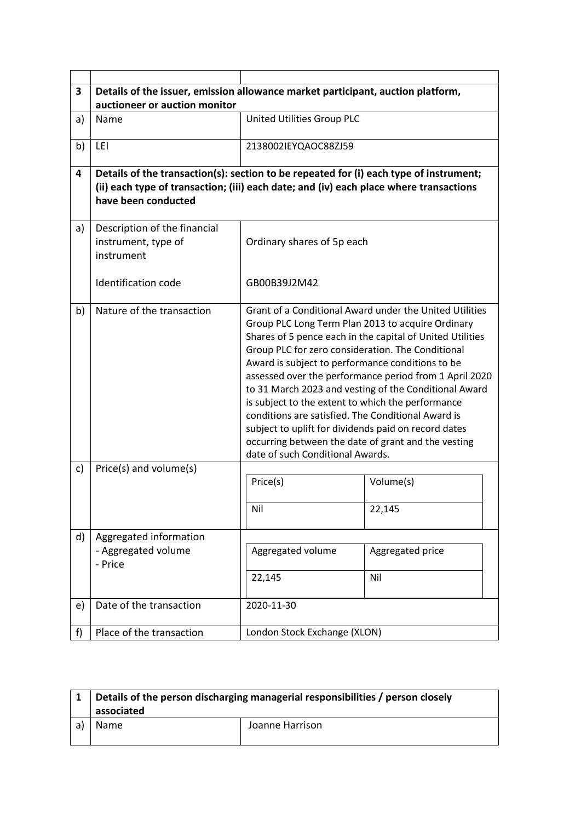| 3  | Details of the issuer, emission allowance market participant, auction platform, |                                                                                                                                                                                                                                                                                                                                                                                                                                                                                                                                                                                                                                                                     |                         |  |  |  |  |
|----|---------------------------------------------------------------------------------|---------------------------------------------------------------------------------------------------------------------------------------------------------------------------------------------------------------------------------------------------------------------------------------------------------------------------------------------------------------------------------------------------------------------------------------------------------------------------------------------------------------------------------------------------------------------------------------------------------------------------------------------------------------------|-------------------------|--|--|--|--|
|    | auctioneer or auction monitor                                                   |                                                                                                                                                                                                                                                                                                                                                                                                                                                                                                                                                                                                                                                                     |                         |  |  |  |  |
| a) | Name                                                                            | United Utilities Group PLC                                                                                                                                                                                                                                                                                                                                                                                                                                                                                                                                                                                                                                          |                         |  |  |  |  |
| b) | LEI                                                                             | 2138002IEYQAOC88ZJ59                                                                                                                                                                                                                                                                                                                                                                                                                                                                                                                                                                                                                                                |                         |  |  |  |  |
| 4  | have been conducted                                                             | Details of the transaction(s): section to be repeated for (i) each type of instrument;<br>(ii) each type of transaction; (iii) each date; and (iv) each place where transactions                                                                                                                                                                                                                                                                                                                                                                                                                                                                                    |                         |  |  |  |  |
| a) | Description of the financial<br>instrument, type of<br>instrument               | Ordinary shares of 5p each                                                                                                                                                                                                                                                                                                                                                                                                                                                                                                                                                                                                                                          |                         |  |  |  |  |
|    | <b>Identification code</b>                                                      | GB00B39J2M42                                                                                                                                                                                                                                                                                                                                                                                                                                                                                                                                                                                                                                                        |                         |  |  |  |  |
| b) | Nature of the transaction                                                       | Grant of a Conditional Award under the United Utilities<br>Group PLC Long Term Plan 2013 to acquire Ordinary<br>Shares of 5 pence each in the capital of United Utilities<br>Group PLC for zero consideration. The Conditional<br>Award is subject to performance conditions to be<br>assessed over the performance period from 1 April 2020<br>to 31 March 2023 and vesting of the Conditional Award<br>is subject to the extent to which the performance<br>conditions are satisfied. The Conditional Award is<br>subject to uplift for dividends paid on record dates<br>occurring between the date of grant and the vesting<br>date of such Conditional Awards. |                         |  |  |  |  |
| c) | Price(s) and volume(s)                                                          | Price(s)<br>Nil                                                                                                                                                                                                                                                                                                                                                                                                                                                                                                                                                                                                                                                     | Volume(s)<br>22,145     |  |  |  |  |
| d) | Aggregated information<br>- Aggregated volume<br>- Price                        | Aggregated volume<br>22,145                                                                                                                                                                                                                                                                                                                                                                                                                                                                                                                                                                                                                                         | Aggregated price<br>Nil |  |  |  |  |
| e) | Date of the transaction                                                         | 2020-11-30                                                                                                                                                                                                                                                                                                                                                                                                                                                                                                                                                                                                                                                          |                         |  |  |  |  |
| f) | Place of the transaction                                                        | London Stock Exchange (XLON)                                                                                                                                                                                                                                                                                                                                                                                                                                                                                                                                                                                                                                        |                         |  |  |  |  |

| Details of the person discharging managerial responsibilities / person closely<br>associated |                 |  |
|----------------------------------------------------------------------------------------------|-----------------|--|
| <b>Name</b>                                                                                  | Joanne Harrison |  |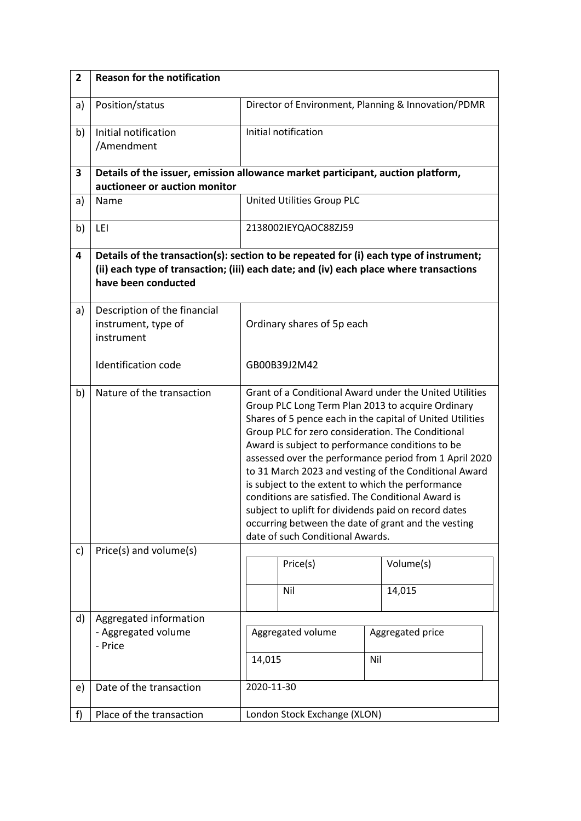| $\overline{2}$ | <b>Reason for the notification</b>                                                                                                                                                                      |                                                                                                                                                                                                                                                                                                                                                                                                                                                                                                                                                                                                                                                                     |                                                     |  |  |  |
|----------------|---------------------------------------------------------------------------------------------------------------------------------------------------------------------------------------------------------|---------------------------------------------------------------------------------------------------------------------------------------------------------------------------------------------------------------------------------------------------------------------------------------------------------------------------------------------------------------------------------------------------------------------------------------------------------------------------------------------------------------------------------------------------------------------------------------------------------------------------------------------------------------------|-----------------------------------------------------|--|--|--|
| a)             | Position/status                                                                                                                                                                                         |                                                                                                                                                                                                                                                                                                                                                                                                                                                                                                                                                                                                                                                                     | Director of Environment, Planning & Innovation/PDMR |  |  |  |
| b)             | Initial notification<br>/Amendment                                                                                                                                                                      | Initial notification                                                                                                                                                                                                                                                                                                                                                                                                                                                                                                                                                                                                                                                |                                                     |  |  |  |
| 3              | Details of the issuer, emission allowance market participant, auction platform,<br>auctioneer or auction monitor                                                                                        |                                                                                                                                                                                                                                                                                                                                                                                                                                                                                                                                                                                                                                                                     |                                                     |  |  |  |
| a)             | Name                                                                                                                                                                                                    |                                                                                                                                                                                                                                                                                                                                                                                                                                                                                                                                                                                                                                                                     | United Utilities Group PLC                          |  |  |  |
| b)             | LEI                                                                                                                                                                                                     |                                                                                                                                                                                                                                                                                                                                                                                                                                                                                                                                                                                                                                                                     | 2138002IEYQAOC88ZJ59                                |  |  |  |
| 4              | Details of the transaction(s): section to be repeated for (i) each type of instrument;<br>(ii) each type of transaction; (iii) each date; and (iv) each place where transactions<br>have been conducted |                                                                                                                                                                                                                                                                                                                                                                                                                                                                                                                                                                                                                                                                     |                                                     |  |  |  |
| a)             | Description of the financial<br>instrument, type of<br>instrument                                                                                                                                       | Ordinary shares of 5p each                                                                                                                                                                                                                                                                                                                                                                                                                                                                                                                                                                                                                                          |                                                     |  |  |  |
|                | Identification code                                                                                                                                                                                     | GB00B39J2M42                                                                                                                                                                                                                                                                                                                                                                                                                                                                                                                                                                                                                                                        |                                                     |  |  |  |
| b)             | Nature of the transaction                                                                                                                                                                               | Grant of a Conditional Award under the United Utilities<br>Group PLC Long Term Plan 2013 to acquire Ordinary<br>Shares of 5 pence each in the capital of United Utilities<br>Group PLC for zero consideration. The Conditional<br>Award is subject to performance conditions to be<br>assessed over the performance period from 1 April 2020<br>to 31 March 2023 and vesting of the Conditional Award<br>is subject to the extent to which the performance<br>conditions are satisfied. The Conditional Award is<br>subject to uplift for dividends paid on record dates<br>occurring between the date of grant and the vesting<br>date of such Conditional Awards. |                                                     |  |  |  |
| c)             | Price(s) and volume(s)                                                                                                                                                                                  | Price(s)<br>Volume(s)<br>Nil<br>14,015                                                                                                                                                                                                                                                                                                                                                                                                                                                                                                                                                                                                                              |                                                     |  |  |  |
| d)             | Aggregated information<br>- Aggregated volume<br>- Price                                                                                                                                                | Aggregated volume<br>Aggregated price<br>14,015<br>Nil                                                                                                                                                                                                                                                                                                                                                                                                                                                                                                                                                                                                              |                                                     |  |  |  |
| e)             | Date of the transaction                                                                                                                                                                                 | 2020-11-30                                                                                                                                                                                                                                                                                                                                                                                                                                                                                                                                                                                                                                                          |                                                     |  |  |  |
| f)             | Place of the transaction                                                                                                                                                                                | London Stock Exchange (XLON)                                                                                                                                                                                                                                                                                                                                                                                                                                                                                                                                                                                                                                        |                                                     |  |  |  |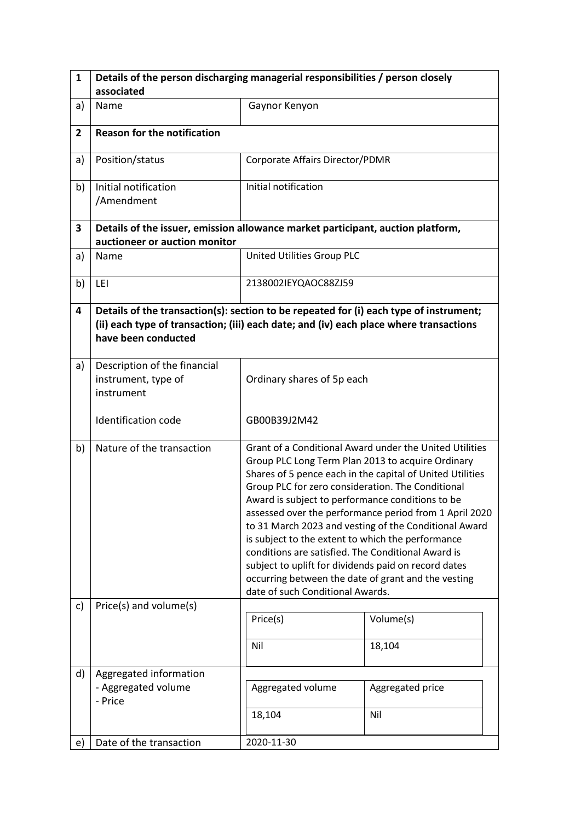| $\mathbf{1}$   | Details of the person discharging managerial responsibilities / person closely                                                                                                                          |                                                                                                                                                                                                                                                                                                                                                                                                                                                                                                                                                                                                                                                                     |                                 |  |  |  |
|----------------|---------------------------------------------------------------------------------------------------------------------------------------------------------------------------------------------------------|---------------------------------------------------------------------------------------------------------------------------------------------------------------------------------------------------------------------------------------------------------------------------------------------------------------------------------------------------------------------------------------------------------------------------------------------------------------------------------------------------------------------------------------------------------------------------------------------------------------------------------------------------------------------|---------------------------------|--|--|--|
|                | associated                                                                                                                                                                                              |                                                                                                                                                                                                                                                                                                                                                                                                                                                                                                                                                                                                                                                                     |                                 |  |  |  |
| a)             | Name                                                                                                                                                                                                    | Gaynor Kenyon                                                                                                                                                                                                                                                                                                                                                                                                                                                                                                                                                                                                                                                       |                                 |  |  |  |
| $\overline{2}$ | <b>Reason for the notification</b>                                                                                                                                                                      |                                                                                                                                                                                                                                                                                                                                                                                                                                                                                                                                                                                                                                                                     |                                 |  |  |  |
| a)             | Position/status                                                                                                                                                                                         |                                                                                                                                                                                                                                                                                                                                                                                                                                                                                                                                                                                                                                                                     | Corporate Affairs Director/PDMR |  |  |  |
| b)             | Initial notification<br>/Amendment                                                                                                                                                                      | Initial notification                                                                                                                                                                                                                                                                                                                                                                                                                                                                                                                                                                                                                                                |                                 |  |  |  |
| 3              | Details of the issuer, emission allowance market participant, auction platform,<br>auctioneer or auction monitor                                                                                        |                                                                                                                                                                                                                                                                                                                                                                                                                                                                                                                                                                                                                                                                     |                                 |  |  |  |
| a)             | Name                                                                                                                                                                                                    | United Utilities Group PLC                                                                                                                                                                                                                                                                                                                                                                                                                                                                                                                                                                                                                                          |                                 |  |  |  |
| b)             | LEI                                                                                                                                                                                                     | 2138002IEYQAOC88ZJ59                                                                                                                                                                                                                                                                                                                                                                                                                                                                                                                                                                                                                                                |                                 |  |  |  |
| 4              | Details of the transaction(s): section to be repeated for (i) each type of instrument;<br>(ii) each type of transaction; (iii) each date; and (iv) each place where transactions<br>have been conducted |                                                                                                                                                                                                                                                                                                                                                                                                                                                                                                                                                                                                                                                                     |                                 |  |  |  |
| a)             | Description of the financial<br>instrument, type of<br>instrument                                                                                                                                       | Ordinary shares of 5p each                                                                                                                                                                                                                                                                                                                                                                                                                                                                                                                                                                                                                                          |                                 |  |  |  |
|                | Identification code                                                                                                                                                                                     | GB00B39J2M42                                                                                                                                                                                                                                                                                                                                                                                                                                                                                                                                                                                                                                                        |                                 |  |  |  |
| b)             | Nature of the transaction                                                                                                                                                                               | Grant of a Conditional Award under the United Utilities<br>Group PLC Long Term Plan 2013 to acquire Ordinary<br>Shares of 5 pence each in the capital of United Utilities<br>Group PLC for zero consideration. The Conditional<br>Award is subject to performance conditions to be<br>assessed over the performance period from 1 April 2020<br>to 31 March 2023 and vesting of the Conditional Award<br>is subject to the extent to which the performance<br>conditions are satisfied. The Conditional Award is<br>subject to uplift for dividends paid on record dates<br>occurring between the date of grant and the vesting<br>date of such Conditional Awards. |                                 |  |  |  |
| c)             | Price(s) and volume(s)                                                                                                                                                                                  | Price(s)<br>Volume(s)                                                                                                                                                                                                                                                                                                                                                                                                                                                                                                                                                                                                                                               |                                 |  |  |  |
|                |                                                                                                                                                                                                         | Nil<br>18,104                                                                                                                                                                                                                                                                                                                                                                                                                                                                                                                                                                                                                                                       |                                 |  |  |  |
| d)             | Aggregated information<br>- Aggregated volume<br>- Price                                                                                                                                                | Aggregated volume<br>18,104                                                                                                                                                                                                                                                                                                                                                                                                                                                                                                                                                                                                                                         | Aggregated price<br>Nil         |  |  |  |
|                |                                                                                                                                                                                                         |                                                                                                                                                                                                                                                                                                                                                                                                                                                                                                                                                                                                                                                                     |                                 |  |  |  |
| e)             | Date of the transaction                                                                                                                                                                                 | 2020-11-30                                                                                                                                                                                                                                                                                                                                                                                                                                                                                                                                                                                                                                                          |                                 |  |  |  |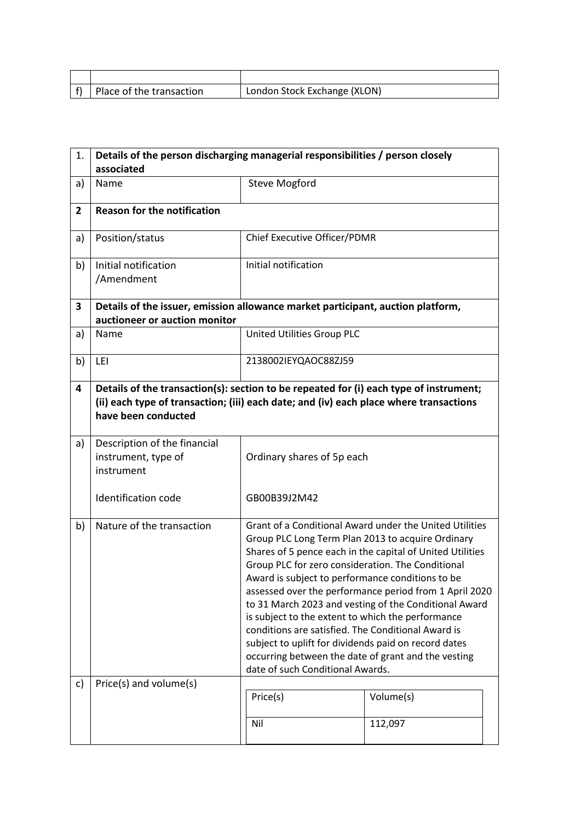| $\vert f \vert$ Place of the transaction | London Stock Exchange (XLON) |
|------------------------------------------|------------------------------|

| 1.           | Details of the person discharging managerial responsibilities / person closely<br>associated                                                                                                            |                                                                                                                                                                                                                                                                                                                                                                                                                                                                                                                                                                                                                                                                     |           |  |  |  |
|--------------|---------------------------------------------------------------------------------------------------------------------------------------------------------------------------------------------------------|---------------------------------------------------------------------------------------------------------------------------------------------------------------------------------------------------------------------------------------------------------------------------------------------------------------------------------------------------------------------------------------------------------------------------------------------------------------------------------------------------------------------------------------------------------------------------------------------------------------------------------------------------------------------|-----------|--|--|--|
| a)           | Name                                                                                                                                                                                                    | <b>Steve Mogford</b>                                                                                                                                                                                                                                                                                                                                                                                                                                                                                                                                                                                                                                                |           |  |  |  |
| $\mathbf{2}$ | <b>Reason for the notification</b>                                                                                                                                                                      |                                                                                                                                                                                                                                                                                                                                                                                                                                                                                                                                                                                                                                                                     |           |  |  |  |
| a)           | Position/status                                                                                                                                                                                         | Chief Executive Officer/PDMR                                                                                                                                                                                                                                                                                                                                                                                                                                                                                                                                                                                                                                        |           |  |  |  |
| b)           | Initial notification<br>/Amendment                                                                                                                                                                      | Initial notification                                                                                                                                                                                                                                                                                                                                                                                                                                                                                                                                                                                                                                                |           |  |  |  |
| 3            | Details of the issuer, emission allowance market participant, auction platform,<br>auctioneer or auction monitor                                                                                        |                                                                                                                                                                                                                                                                                                                                                                                                                                                                                                                                                                                                                                                                     |           |  |  |  |
| a)           | Name                                                                                                                                                                                                    | United Utilities Group PLC                                                                                                                                                                                                                                                                                                                                                                                                                                                                                                                                                                                                                                          |           |  |  |  |
| b)           | LEI                                                                                                                                                                                                     | 2138002IEYQAOC88ZJ59                                                                                                                                                                                                                                                                                                                                                                                                                                                                                                                                                                                                                                                |           |  |  |  |
| 4            | Details of the transaction(s): section to be repeated for (i) each type of instrument;<br>(ii) each type of transaction; (iii) each date; and (iv) each place where transactions<br>have been conducted |                                                                                                                                                                                                                                                                                                                                                                                                                                                                                                                                                                                                                                                                     |           |  |  |  |
| a)           | Description of the financial<br>instrument, type of<br>instrument                                                                                                                                       | Ordinary shares of 5p each                                                                                                                                                                                                                                                                                                                                                                                                                                                                                                                                                                                                                                          |           |  |  |  |
|              | <b>Identification code</b>                                                                                                                                                                              | GB00B39J2M42                                                                                                                                                                                                                                                                                                                                                                                                                                                                                                                                                                                                                                                        |           |  |  |  |
| b)           | Nature of the transaction                                                                                                                                                                               | Grant of a Conditional Award under the United Utilities<br>Group PLC Long Term Plan 2013 to acquire Ordinary<br>Shares of 5 pence each in the capital of United Utilities<br>Group PLC for zero consideration. The Conditional<br>Award is subject to performance conditions to be<br>assessed over the performance period from 1 April 2020<br>to 31 March 2023 and vesting of the Conditional Award<br>is subject to the extent to which the performance<br>conditions are satisfied. The Conditional Award is<br>subject to uplift for dividends paid on record dates<br>occurring between the date of grant and the vesting<br>date of such Conditional Awards. |           |  |  |  |
| c)           | Price(s) and volume(s)                                                                                                                                                                                  | Price(s)                                                                                                                                                                                                                                                                                                                                                                                                                                                                                                                                                                                                                                                            | Volume(s) |  |  |  |
|              |                                                                                                                                                                                                         | Nil                                                                                                                                                                                                                                                                                                                                                                                                                                                                                                                                                                                                                                                                 | 112,097   |  |  |  |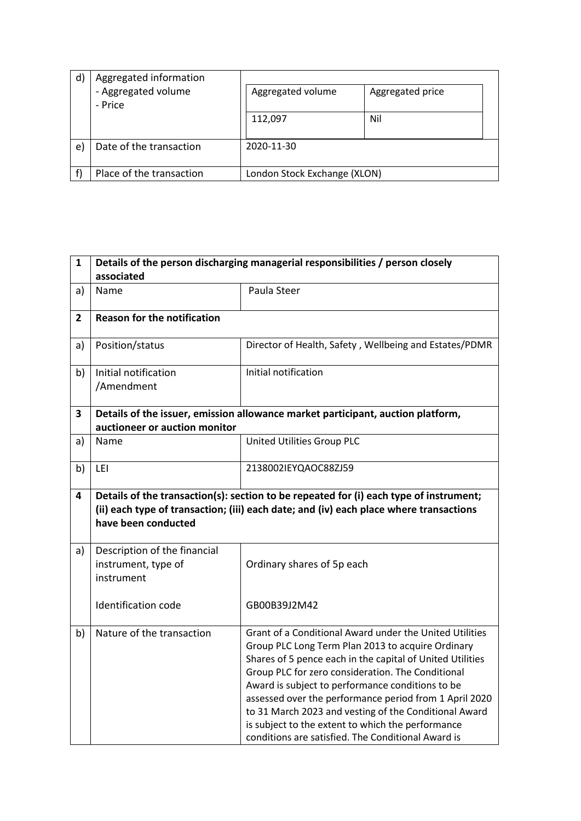| $\mathsf{d}$ | Aggregated information         |                              |                  |  |
|--------------|--------------------------------|------------------------------|------------------|--|
|              | - Aggregated volume<br>- Price | Aggregated volume            | Aggregated price |  |
|              |                                | 112,097                      | Nil              |  |
| e)           | Date of the transaction        | 2020-11-30                   |                  |  |
|              | Place of the transaction       | London Stock Exchange (XLON) |                  |  |

| $\mathbf{1}$   | Details of the person discharging managerial responsibilities / person closely |                                                                                                                                                                                                                                                                                                                                                                                                                                                                                                                  |  |  |
|----------------|--------------------------------------------------------------------------------|------------------------------------------------------------------------------------------------------------------------------------------------------------------------------------------------------------------------------------------------------------------------------------------------------------------------------------------------------------------------------------------------------------------------------------------------------------------------------------------------------------------|--|--|
|                | associated                                                                     |                                                                                                                                                                                                                                                                                                                                                                                                                                                                                                                  |  |  |
| a)             | Name                                                                           | Paula Steer                                                                                                                                                                                                                                                                                                                                                                                                                                                                                                      |  |  |
| $\overline{2}$ | <b>Reason for the notification</b>                                             |                                                                                                                                                                                                                                                                                                                                                                                                                                                                                                                  |  |  |
| a)             | Position/status                                                                | Director of Health, Safety, Wellbeing and Estates/PDMR                                                                                                                                                                                                                                                                                                                                                                                                                                                           |  |  |
| b)             | Initial notification                                                           | Initial notification                                                                                                                                                                                                                                                                                                                                                                                                                                                                                             |  |  |
|                | /Amendment                                                                     |                                                                                                                                                                                                                                                                                                                                                                                                                                                                                                                  |  |  |
| 3              |                                                                                | Details of the issuer, emission allowance market participant, auction platform,                                                                                                                                                                                                                                                                                                                                                                                                                                  |  |  |
|                | auctioneer or auction monitor                                                  |                                                                                                                                                                                                                                                                                                                                                                                                                                                                                                                  |  |  |
| a)             | Name                                                                           | <b>United Utilities Group PLC</b>                                                                                                                                                                                                                                                                                                                                                                                                                                                                                |  |  |
| b)             | LEI                                                                            | 2138002IEYQAOC88ZJ59                                                                                                                                                                                                                                                                                                                                                                                                                                                                                             |  |  |
| 4              |                                                                                | Details of the transaction(s): section to be repeated for (i) each type of instrument;                                                                                                                                                                                                                                                                                                                                                                                                                           |  |  |
|                | have been conducted                                                            | (ii) each type of transaction; (iii) each date; and (iv) each place where transactions                                                                                                                                                                                                                                                                                                                                                                                                                           |  |  |
| a)             | Description of the financial<br>instrument, type of<br>instrument              | Ordinary shares of 5p each                                                                                                                                                                                                                                                                                                                                                                                                                                                                                       |  |  |
|                | Identification code                                                            | GB00B39J2M42                                                                                                                                                                                                                                                                                                                                                                                                                                                                                                     |  |  |
| b)             | Nature of the transaction                                                      | Grant of a Conditional Award under the United Utilities<br>Group PLC Long Term Plan 2013 to acquire Ordinary<br>Shares of 5 pence each in the capital of United Utilities<br>Group PLC for zero consideration. The Conditional<br>Award is subject to performance conditions to be<br>assessed over the performance period from 1 April 2020<br>to 31 March 2023 and vesting of the Conditional Award<br>is subject to the extent to which the performance<br>conditions are satisfied. The Conditional Award is |  |  |